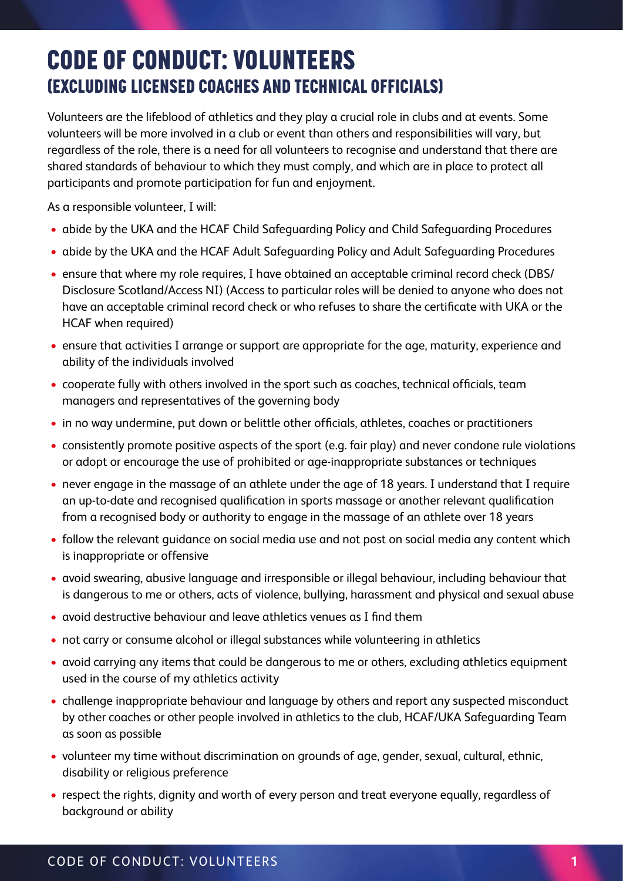## 7. CODE OF CONDUCT: VOLUNTEERS CODE OF CONDUCT: VOLUNTEERS (EXCLUDING LICENSED COACHES AND TECHNICAL OFFICIALS) (EXCLUDING LICENSED COACHES AND TECHNICAL OFFICIALS)

Volunteers are the lifeblood of athletics and they play a crucial role in clubs and at events. Some volunteers will be more involved in a club or event than others and responsibilities will vary, but regardless of the role, there is a need for all volunteers to recognise and understand that there are shared standards of behaviour to which they must comply, and which are in place to protect all participants and promote participation for fun and enjoyment.

As a responsible volunteer, I will:

- abide by the UKA and the HCAF Child Safeguarding Policy and Child Safeguarding Procedures
- abide by the UKA and the HCAF Adult Safeguarding Policy and Adult Safeguarding Procedures
- ensure that where my role requires, I have obtained an acceptable criminal record check (DBS/ Disclosure Scotland/Access NI) (Access to particular roles will be denied to anyone who does not have an acceptable criminal record check or who refuses to share the certificate with UKA or the HCAF when required)
- ensure that activities I arrange or support are appropriate for the age, maturity, experience and ability of the individuals involved
- cooperate fully with others involved in the sport such as coaches, technical officials, team managers and representatives of the governing body
- in no way undermine, put down or belittle other officials, athletes, coaches or practitioners
- consistently promote positive aspects of the sport (e.g. fair play) and never condone rule violations or adopt or encourage the use of prohibited or age-inappropriate substances or techniques
- never engage in the massage of an athlete under the age of 18 years. I understand that I require an up-to-date and recognised qualification in sports massage or another relevant qualification from a recognised body or authority to engage in the massage of an athlete over 18 years
- follow the relevant guidance on social media use and not post on social media any content which is inappropriate or offensive
- avoid swearing, abusive language and irresponsible or illegal behaviour, including behaviour that is dangerous to me or others, acts of violence, bullying, harassment and physical and sexual abuse
- avoid destructive behaviour and leave athletics venues as I find them
- not carry or consume alcohol or illegal substances while volunteering in athletics
- avoid carrying any items that could be dangerous to me or others, excluding athletics equipment used in the course of my athletics activity
- challenge inappropriate behaviour and language by others and report any suspected misconduct by other coaches or other people involved in athletics to the club, HCAF/UKA Safeguarding Team as soon as possible
- volunteer my time without discrimination on grounds of age, gender, sexual, cultural, ethnic, disability or religious preference
- respect the rights, dignity and worth of every person and treat everyone equally, regardless of background or ability